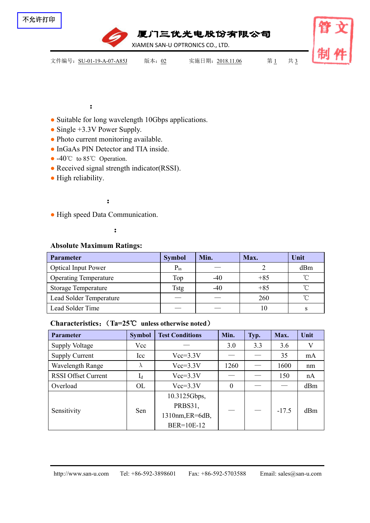

厦门三优光电股份有限公司<br>IAMEN SAN-U OPTRONICS CO., LTD.

XIAMEN SAN-U OPTRONICS CO., LTD.

文件编号: SU-01-19-A-07-A85J 版本: 02 实施日期: 2018.11.06 第1 共 3

## :

- Suitable for long wavelength 10Gbps applications.
- Single +3.3V Power Supply.
- Photo current monitoring available.
- InGaAs PIN Detector and TIA inside.
- -40°C to 85°C Operation.
- Received signal strength indicator(RSSI).
- High reliability.

### :

● High speed Data Communication.

## :

#### **Absolute Maximum Ratings:**

| <b>Parameter</b>               | <b>Symbol</b> | Min.  | Max.  | Unit       |
|--------------------------------|---------------|-------|-------|------------|
| <b>Optical Input Power</b>     | $P_{in}$      |       |       | dBm        |
| <b>Operating Temperature</b>   | Top           | $-40$ | $+85$ | $^{\circ}$ |
| <b>Storage Temperature</b>     | Tstg          | $-40$ | $+85$ | $^{\circ}$ |
| <b>Lead Solder Temperature</b> |               |       | 260   | $^{\circ}$ |
| Lead Solder Time               |               |       | 10    |            |

### **Characteristics**:(**Ta=25**℃ **unless otherwise noted**)

| <b>Parameter</b>           | <b>Symbol</b> | <b>Test Conditions</b> | Min.     | Typ. | Max.    | Unit |
|----------------------------|---------------|------------------------|----------|------|---------|------|
| <b>Supply Voltage</b>      | Vcc           |                        | 3.0      | 3.3  | 3.6     | V    |
| <b>Supply Current</b>      | Icc           | $Vcc=3.3V$             |          |      | 35      | mA   |
| Wavelength Range           | $\Lambda$     | $Vcc=3.3V$             | 1260     |      | 1600    | nm   |
| <b>RSSI Offset Current</b> | $I_d$         | $Vcc=3.3V$             |          |      | 150     | nA   |
| Overload                   | <b>OL</b>     | $Vcc=3.3V$             | $\theta$ |      |         | dBm  |
| Sensitivity                | Sen           | 10.3125Gbps,           |          |      | $-17.5$ | dBm  |
|                            |               | PRBS31,                |          |      |         |      |
|                            |               | 1310nm, ER=6dB,        |          |      |         |      |
|                            |               | BER=10E-12             |          |      |         |      |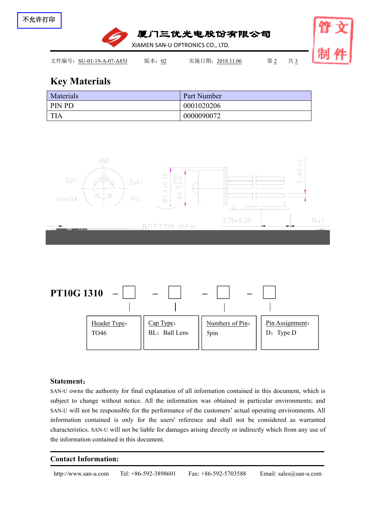

# **Key Materials**

| Materials  | Part Number |
|------------|-------------|
| ' PIN PD   | 0001020206  |
| <b>TIA</b> | 0000090072  |





#### **Statement**:

SAN-U owns the authority for final explanation of all information contained in this document, which is subject to change without notice. All the information was obtained in particular environments; and SAN-U will not be responsible for the performance of the customers' actual operating environments. All information contained is only for the users' reference and shall not be considered as warranted characteristics. SAN-U will not be liable for damages arising directly or indirectly which from any use of the information contained in this document.

#### **Contact Information:**

http://www.san-u.com Tel: +86-592-3898601 Fax: +86-592-5703588 Email: sales@san-u.com